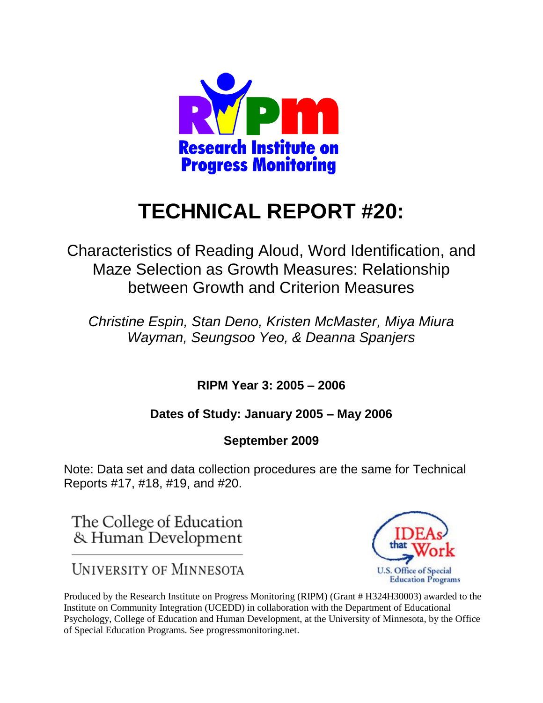

# **TECHNICAL REPORT #20:**

Characteristics of Reading Aloud, Word Identification, and Maze Selection as Growth Measures: Relationship between Growth and Criterion Measures

*Christine Espin, Stan Deno, Kristen McMaster, Miya Miura Wayman, Seungsoo Yeo, & Deanna Spanjers*

**RIPM Year 3: 2005 – 2006** 

## **Dates of Study: January 2005 – May 2006**

**September 2009**

Note: Data set and data collection procedures are the same for Technical Reports #17, #18, #19, and #20.

The College of Education & Human Development

**UNIVERSITY OF MINNESOTA** 



Produced by the Research Institute on Progress Monitoring (RIPM) (Grant # H324H30003) awarded to the Institute on Community Integration (UCEDD) in collaboration with the Department of Educational Psychology, College of Education and Human Development, at the University of Minnesota, by the Office of Special Education Programs. See progressmonitoring.net.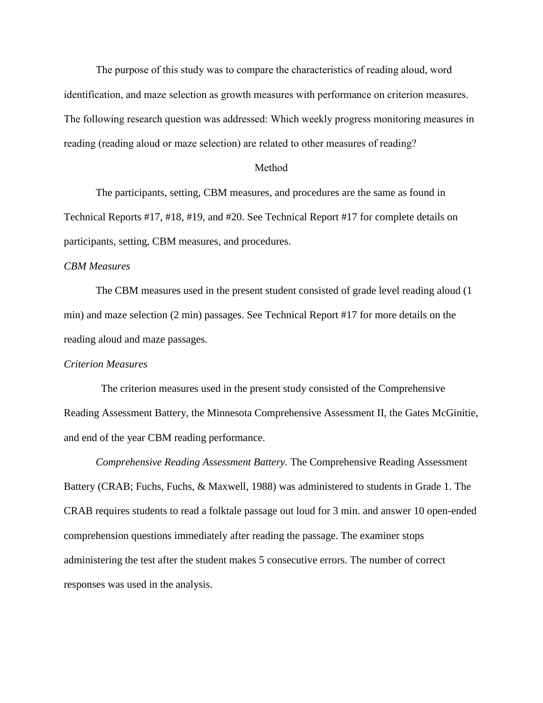The purpose of this study was to compare the characteristics of reading aloud, word identification, and maze selection as growth measures with performance on criterion measures. The following research question was addressed: Which weekly progress monitoring measures in reading (reading aloud or maze selection) are related to other measures of reading?

#### Method

The participants, setting, CBM measures, and procedures are the same as found in Technical Reports #17, #18, #19, and #20. See Technical Report #17 for complete details on participants, setting, CBM measures, and procedures.

#### *CBM Measures*

The CBM measures used in the present student consisted of grade level reading aloud (1 min) and maze selection (2 min) passages. See Technical Report #17 for more details on the reading aloud and maze passages.

#### *Criterion Measures*

The criterion measures used in the present study consisted of the Comprehensive Reading Assessment Battery, the Minnesota Comprehensive Assessment II, the Gates McGinitie, and end of the year CBM reading performance.

*Comprehensive Reading Assessment Battery.* The Comprehensive Reading Assessment Battery (CRAB; Fuchs, Fuchs, & Maxwell, 1988) was administered to students in Grade 1. The CRAB requires students to read a folktale passage out loud for 3 min. and answer 10 open-ended comprehension questions immediately after reading the passage. The examiner stops administering the test after the student makes 5 consecutive errors. The number of correct responses was used in the analysis.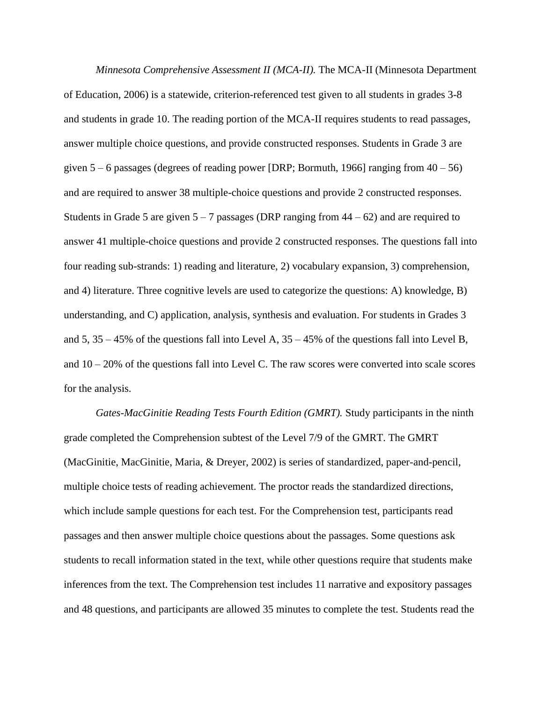*Minnesota Comprehensive Assessment II (MCA-II).* The MCA-II (Minnesota Department of Education, 2006) is a statewide, criterion-referenced test given to all students in grades 3-8 and students in grade 10. The reading portion of the MCA-II requires students to read passages, answer multiple choice questions, and provide constructed responses. Students in Grade 3 are given  $5 - 6$  passages (degrees of reading power [DRP; Bormuth, 1966] ranging from  $40 - 56$ ) and are required to answer 38 multiple-choice questions and provide 2 constructed responses. Students in Grade 5 are given  $5 - 7$  passages (DRP ranging from  $44 - 62$ ) and are required to answer 41 multiple-choice questions and provide 2 constructed responses. The questions fall into four reading sub-strands: 1) reading and literature, 2) vocabulary expansion, 3) comprehension, and 4) literature. Three cognitive levels are used to categorize the questions: A) knowledge, B) understanding, and C) application, analysis, synthesis and evaluation. For students in Grades 3 and  $5, 35 - 45\%$  of the questions fall into Level A,  $35 - 45\%$  of the questions fall into Level B, and 10 – 20% of the questions fall into Level C. The raw scores were converted into scale scores for the analysis.

*Gates-MacGinitie Reading Tests Fourth Edition (GMRT).* Study participants in the ninth grade completed the Comprehension subtest of the Level 7/9 of the GMRT. The GMRT (MacGinitie, MacGinitie, Maria, & Dreyer, 2002) is series of standardized, paper-and-pencil, multiple choice tests of reading achievement. The proctor reads the standardized directions, which include sample questions for each test. For the Comprehension test, participants read passages and then answer multiple choice questions about the passages. Some questions ask students to recall information stated in the text, while other questions require that students make inferences from the text. The Comprehension test includes 11 narrative and expository passages and 48 questions, and participants are allowed 35 minutes to complete the test. Students read the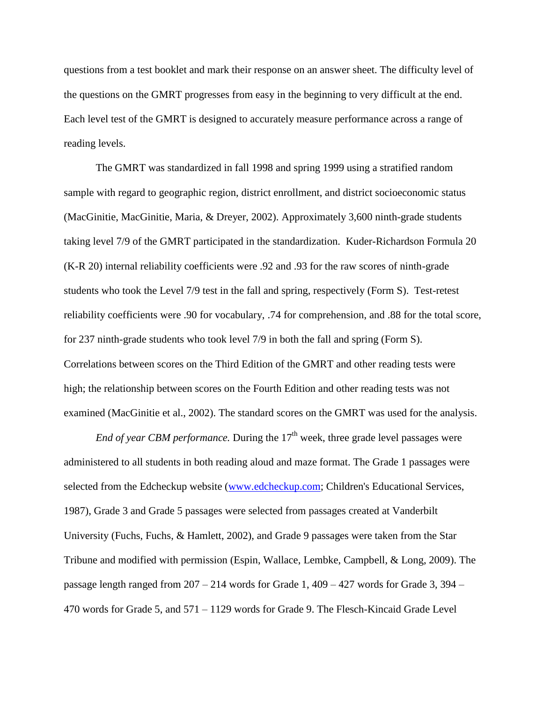questions from a test booklet and mark their response on an answer sheet. The difficulty level of the questions on the GMRT progresses from easy in the beginning to very difficult at the end. Each level test of the GMRT is designed to accurately measure performance across a range of reading levels.

The GMRT was standardized in fall 1998 and spring 1999 using a stratified random sample with regard to geographic region, district enrollment, and district socioeconomic status (MacGinitie, MacGinitie, Maria, & Dreyer, 2002). Approximately 3,600 ninth-grade students taking level 7/9 of the GMRT participated in the standardization. Kuder-Richardson Formula 20 (K-R 20) internal reliability coefficients were .92 and .93 for the raw scores of ninth-grade students who took the Level 7/9 test in the fall and spring, respectively (Form S). Test-retest reliability coefficients were .90 for vocabulary, .74 for comprehension, and .88 for the total score, for 237 ninth-grade students who took level 7/9 in both the fall and spring (Form S). Correlations between scores on the Third Edition of the GMRT and other reading tests were high; the relationship between scores on the Fourth Edition and other reading tests was not examined (MacGinitie et al., 2002). The standard scores on the GMRT was used for the analysis.

*End of year CBM performance.* During the  $17<sup>th</sup>$  week, three grade level passages were administered to all students in both reading aloud and maze format. The Grade 1 passages were selected from the Edcheckup website [\(www.edcheckup.com;](http://www.edcheckup.com/) Children's Educational Services, 1987), Grade 3 and Grade 5 passages were selected from passages created at Vanderbilt University (Fuchs, Fuchs, & Hamlett, 2002), and Grade 9 passages were taken from the Star Tribune and modified with permission (Espin, Wallace, Lembke, Campbell, & Long, 2009). The passage length ranged from 207 – 214 words for Grade 1, 409 – 427 words for Grade 3, 394 – 470 words for Grade 5, and 571 – 1129 words for Grade 9. The Flesch-Kincaid Grade Level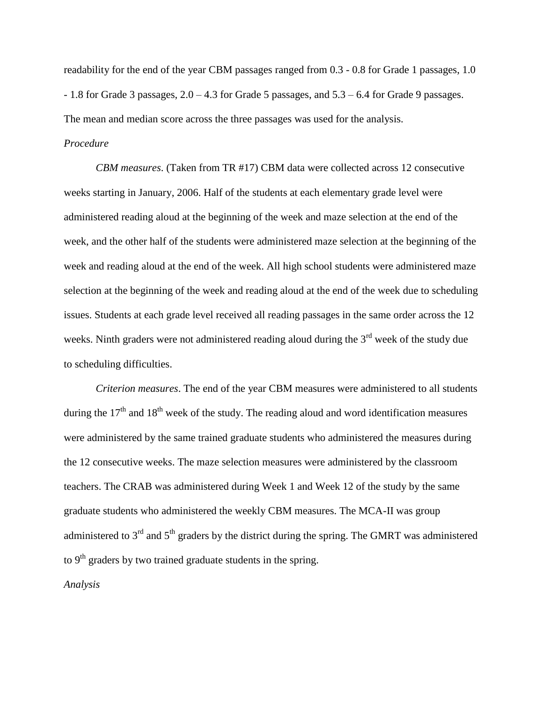readability for the end of the year CBM passages ranged from 0.3 - 0.8 for Grade 1 passages, 1.0 - 1.8 for Grade 3 passages, 2.0 – 4.3 for Grade 5 passages, and 5.3 – 6.4 for Grade 9 passages. The mean and median score across the three passages was used for the analysis.

### *Procedure*

*CBM measures*. (Taken from TR #17) CBM data were collected across 12 consecutive weeks starting in January, 2006. Half of the students at each elementary grade level were administered reading aloud at the beginning of the week and maze selection at the end of the week, and the other half of the students were administered maze selection at the beginning of the week and reading aloud at the end of the week. All high school students were administered maze selection at the beginning of the week and reading aloud at the end of the week due to scheduling issues. Students at each grade level received all reading passages in the same order across the 12 weeks. Ninth graders were not administered reading aloud during the  $3<sup>rd</sup>$  week of the study due to scheduling difficulties.

*Criterion measures*. The end of the year CBM measures were administered to all students during the  $17<sup>th</sup>$  and  $18<sup>th</sup>$  week of the study. The reading aloud and word identification measures were administered by the same trained graduate students who administered the measures during the 12 consecutive weeks. The maze selection measures were administered by the classroom teachers. The CRAB was administered during Week 1 and Week 12 of the study by the same graduate students who administered the weekly CBM measures. The MCA-II was group administered to  $3<sup>rd</sup>$  and  $5<sup>th</sup>$  graders by the district during the spring. The GMRT was administered to  $9<sup>th</sup>$  graders by two trained graduate students in the spring. *Analysis*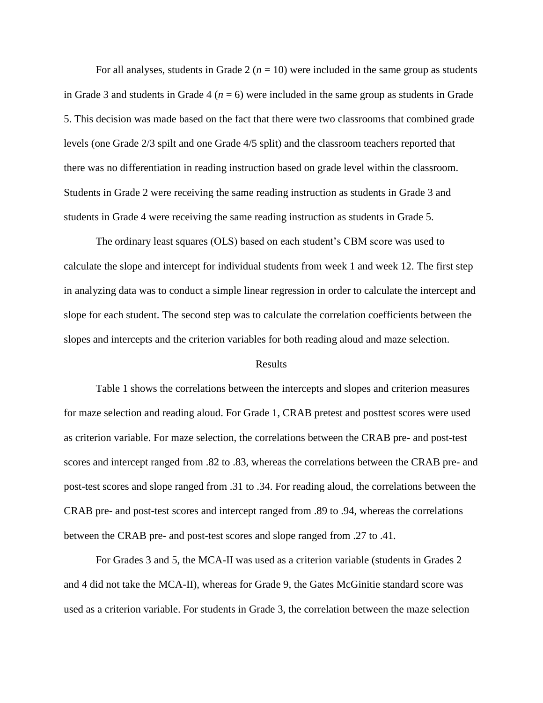For all analyses, students in Grade  $2(n = 10)$  were included in the same group as students in Grade 3 and students in Grade 4 ( $n = 6$ ) were included in the same group as students in Grade 5. This decision was made based on the fact that there were two classrooms that combined grade levels (one Grade 2/3 spilt and one Grade 4/5 split) and the classroom teachers reported that there was no differentiation in reading instruction based on grade level within the classroom. Students in Grade 2 were receiving the same reading instruction as students in Grade 3 and students in Grade 4 were receiving the same reading instruction as students in Grade 5.

The ordinary least squares (OLS) based on each student's CBM score was used to calculate the slope and intercept for individual students from week 1 and week 12. The first step in analyzing data was to conduct a simple linear regression in order to calculate the intercept and slope for each student. The second step was to calculate the correlation coefficients between the slopes and intercepts and the criterion variables for both reading aloud and maze selection.

#### Results

Table 1 shows the correlations between the intercepts and slopes and criterion measures for maze selection and reading aloud. For Grade 1, CRAB pretest and posttest scores were used as criterion variable. For maze selection, the correlations between the CRAB pre- and post-test scores and intercept ranged from .82 to .83, whereas the correlations between the CRAB pre- and post-test scores and slope ranged from .31 to .34. For reading aloud, the correlations between the CRAB pre- and post-test scores and intercept ranged from .89 to .94, whereas the correlations between the CRAB pre- and post-test scores and slope ranged from .27 to .41.

For Grades 3 and 5, the MCA-II was used as a criterion variable (students in Grades 2 and 4 did not take the MCA-II), whereas for Grade 9, the Gates McGinitie standard score was used as a criterion variable. For students in Grade 3, the correlation between the maze selection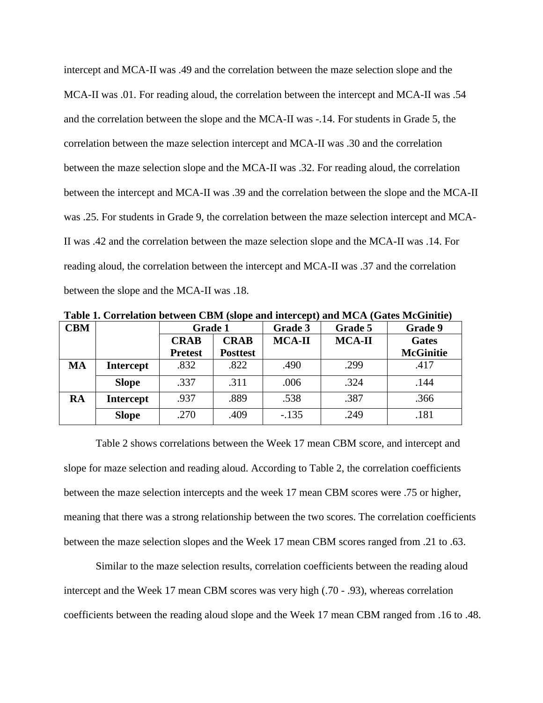intercept and MCA-II was .49 and the correlation between the maze selection slope and the MCA-II was .01. For reading aloud, the correlation between the intercept and MCA-II was .54 and the correlation between the slope and the MCA-II was -.14. For students in Grade 5, the correlation between the maze selection intercept and MCA-II was .30 and the correlation between the maze selection slope and the MCA-II was .32. For reading aloud, the correlation between the intercept and MCA-II was .39 and the correlation between the slope and the MCA-II was .25. For students in Grade 9, the correlation between the maze selection intercept and MCA-II was .42 and the correlation between the maze selection slope and the MCA-II was .14. For reading aloud, the correlation between the intercept and MCA-II was .37 and the correlation between the slope and the MCA-II was .18.

| Table 1. Correlation between CDM (slope and micreept) and MCA (Gates McGinitite) |                  |                |                 |               |               |                  |  |
|----------------------------------------------------------------------------------|------------------|----------------|-----------------|---------------|---------------|------------------|--|
| <b>CBM</b>                                                                       |                  | <b>Grade 1</b> |                 | Grade 3       | Grade 5       | Grade 9          |  |
|                                                                                  |                  | <b>CRAB</b>    | <b>CRAB</b>     | <b>MCA-II</b> | <b>MCA-II</b> | <b>Gates</b>     |  |
|                                                                                  |                  | <b>Pretest</b> | <b>Posttest</b> |               |               | <b>McGinitie</b> |  |
| MA                                                                               | <b>Intercept</b> | .832           | .822            | .490          | .299          | .417             |  |
|                                                                                  | <b>Slope</b>     | .337           | .311            | .006          | .324          | .144             |  |
| <b>RA</b>                                                                        | <b>Intercept</b> | .937           | .889            | .538          | .387          | .366             |  |
|                                                                                  | <b>Slope</b>     | .270           | .409            | $-.135$       | .249          | .181             |  |

**Table 1. Correlation between CBM (slope and intercept) and MCA (Gates McGinitie)**

Table 2 shows correlations between the Week 17 mean CBM score, and intercept and slope for maze selection and reading aloud. According to Table 2, the correlation coefficients between the maze selection intercepts and the week 17 mean CBM scores were .75 or higher, meaning that there was a strong relationship between the two scores. The correlation coefficients between the maze selection slopes and the Week 17 mean CBM scores ranged from .21 to .63.

Similar to the maze selection results, correlation coefficients between the reading aloud intercept and the Week 17 mean CBM scores was very high (.70 - .93), whereas correlation coefficients between the reading aloud slope and the Week 17 mean CBM ranged from .16 to .48.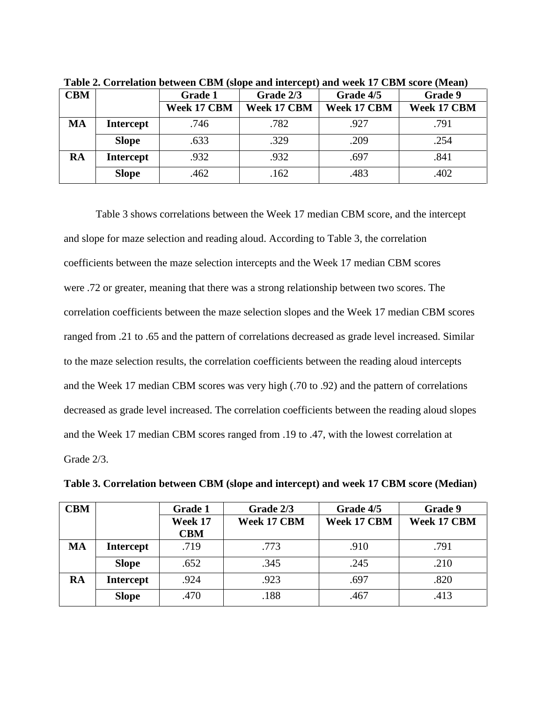| <b>CBM</b> |                  | Grade 1     | Grade 2/3   | Grade 4/5   | Grade 9     |
|------------|------------------|-------------|-------------|-------------|-------------|
|            |                  | Week 17 CBM | Week 17 CBM | Week 17 CBM | Week 17 CBM |
| <b>MA</b>  | <b>Intercept</b> | .746        | .782        | .927        | .791        |
|            | <b>Slope</b>     | .633        | .329        | .209        | .254        |
| RA         | <b>Intercept</b> | .932        | .932        | .697        | .841        |
|            | <b>Slope</b>     | .462        | .162        | .483        | .402        |

**Table 2. Correlation between CBM (slope and intercept) and week 17 CBM score (Mean)**

Table 3 shows correlations between the Week 17 median CBM score, and the intercept and slope for maze selection and reading aloud. According to Table 3, the correlation coefficients between the maze selection intercepts and the Week 17 median CBM scores were .72 or greater, meaning that there was a strong relationship between two scores. The correlation coefficients between the maze selection slopes and the Week 17 median CBM scores ranged from .21 to .65 and the pattern of correlations decreased as grade level increased. Similar to the maze selection results, the correlation coefficients between the reading aloud intercepts and the Week 17 median CBM scores was very high (.70 to .92) and the pattern of correlations decreased as grade level increased. The correlation coefficients between the reading aloud slopes and the Week 17 median CBM scores ranged from .19 to .47, with the lowest correlation at Grade 2/3.

| <b>CBM</b> |                  | <b>Grade 1</b> | Grade 2/3   | Grade 4/5   | Grade 9     |
|------------|------------------|----------------|-------------|-------------|-------------|
|            |                  | Week 17        | Week 17 CBM | Week 17 CBM | Week 17 CBM |
|            |                  | <b>CBM</b>     |             |             |             |
| <b>MA</b>  | <b>Intercept</b> | .719           | .773        | .910        | .791        |
|            | <b>Slope</b>     | .652           | .345        | .245        | .210        |
| <b>RA</b>  | <b>Intercept</b> | .924           | .923        | .697        | .820        |
|            | <b>Slope</b>     | .470           | .188        | .467        | .413        |

**Table 3. Correlation between CBM (slope and intercept) and week 17 CBM score (Median)**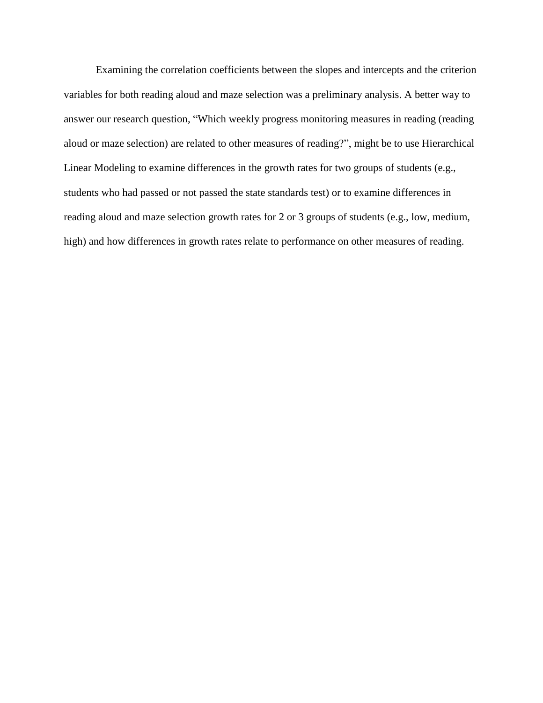Examining the correlation coefficients between the slopes and intercepts and the criterion variables for both reading aloud and maze selection was a preliminary analysis. A better way to answer our research question, "Which weekly progress monitoring measures in reading (reading aloud or maze selection) are related to other measures of reading?", might be to use Hierarchical Linear Modeling to examine differences in the growth rates for two groups of students (e.g., students who had passed or not passed the state standards test) or to examine differences in reading aloud and maze selection growth rates for 2 or 3 groups of students (e.g., low, medium, high) and how differences in growth rates relate to performance on other measures of reading.